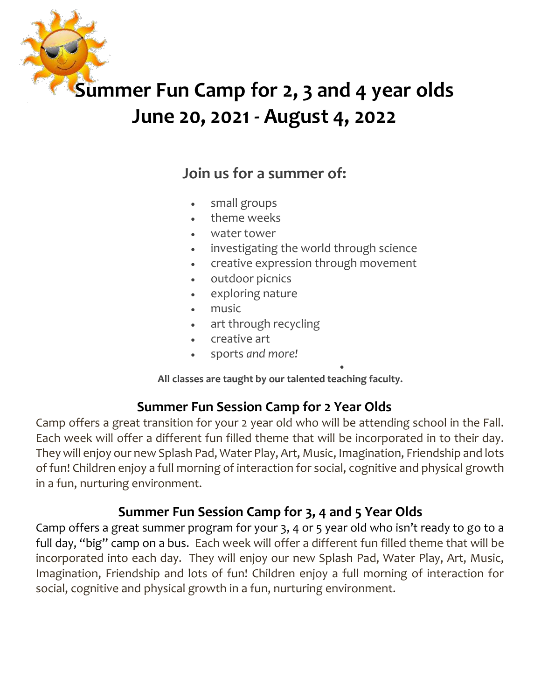

## **Join us for a summer of:**

- small groups
- theme weeks
- water tower
- investigating the world through science
- creative expression through movement
- outdoor picnics
- exploring nature
- music
- art through recycling
- creative art
- sports *and more!*

 $\bullet$ **All classes are taught by our talented teaching faculty.**

### **Summer Fun Session Camp for 2 Year Olds**

Camp offers a great transition for your 2 year old who will be attending school in the Fall. Each week will offer a different fun filled theme that will be incorporated in to their day. They will enjoy our new Splash Pad, Water Play, Art, Music, Imagination, Friendship and lots of fun! Children enjoy a full morning of interaction for social, cognitive and physical growth in a fun, nurturing environment.

## **Summer Fun Session Camp for 3, 4 and 5 Year Olds**

Camp offers a great summer program for your 3, 4 or 5 year old who isn't ready to go to a full day, "big" camp on a bus. Each week will offer a different fun filled theme that will be incorporated into each day. They will enjoy our new Splash Pad, Water Play, Art, Music, Imagination, Friendship and lots of fun! Children enjoy a full morning of interaction for social, cognitive and physical growth in a fun, nurturing environment.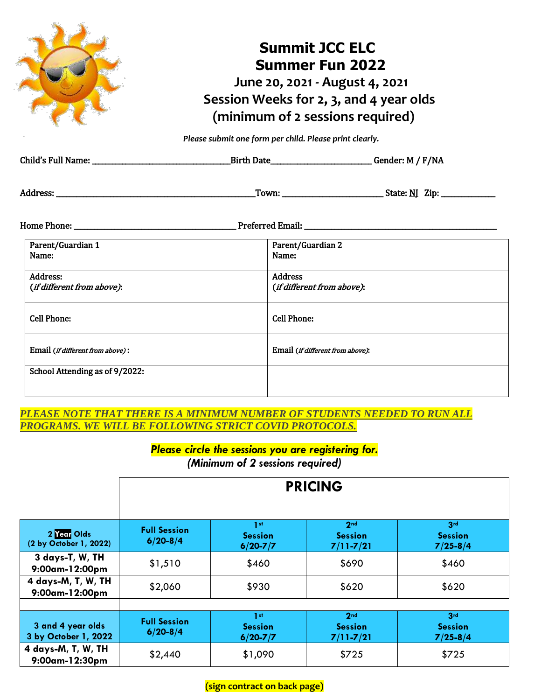# **Summit JCC ELC Summer Fun 2022 June 20, 2021 - August 4, 2021 Session Weeks for 2, 3, and 4 year olds (minimum of 2 sessions required)**

*Please submit one form per child. Please print clearly.*

|                                        | _Birth Date________________________________Gender: M / F/NA |  |
|----------------------------------------|-------------------------------------------------------------|--|
|                                        |                                                             |  |
|                                        |                                                             |  |
| Parent/Guardian 1<br>Name:             | Parent/Guardian 2<br>Name:                                  |  |
| Address:<br>(if different from above): | <b>Address</b><br>(if different from above):                |  |
| <b>Cell Phone:</b>                     | <b>Cell Phone:</b>                                          |  |
| Email (if different from above):       | Email (if different from above):                            |  |
| School Attending as of 9/2022:         |                                                             |  |

### *PLEASE NOTE THAT THERE IS A MINIMUM NUMBER OF STUDENTS NEEDED TO RUN ALL PROGRAMS. WE WILL BE FOLLOWING STRICT COVID PROTOCOLS.*

*Please circle the sessions you are registering for.*

*(Minimum of 2 sessions required)*

|                                           | <b>PRICING</b>                      |                                                   |                                                    |                                                   |
|-------------------------------------------|-------------------------------------|---------------------------------------------------|----------------------------------------------------|---------------------------------------------------|
| 2 Year Olds<br>(2 by October 1, 2022)     | <b>Full Session</b><br>$6/20 - 8/4$ | 1 <sub>st</sub><br><b>Session</b><br>$6/20 - 7/7$ | 2 <sub>nd</sub><br><b>Session</b><br>$7/11 - 7/21$ | 3 <sup>rd</sup><br><b>Session</b><br>$7/25 - 8/4$ |
| 3 days-T, W, TH<br>9:00am-12:00pm         | \$1,510                             | \$460                                             | \$690                                              | \$460                                             |
| 4 days-M, T, W, TH<br>9:00am-12:00pm      | \$2,060                             | \$930                                             | \$620                                              | \$620                                             |
|                                           |                                     |                                                   |                                                    |                                                   |
| 3 and 4 year olds<br>3 by October 1, 2022 | <b>Full Session</b><br>$6/20 - 8/4$ | 1 <sub>st</sub><br><b>Session</b><br>$6/20 - 7/7$ | 2 <sub>nd</sub><br><b>Session</b><br>$7/11 - 7/21$ | 3rd<br><b>Session</b><br>$7/25 - 8/4$             |
| 4 days-M, T, W, TH<br>9:00am-12:30pm      | \$2,440                             | \$1,090                                           | \$725                                              | \$725                                             |